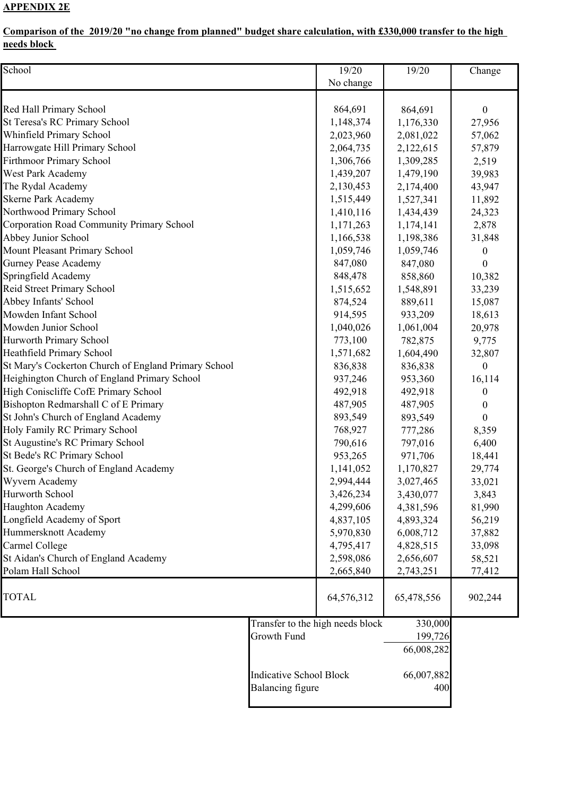## **APPENDIX 2E**

## **Comparison of the 2019/20 "no change from planned" budget share calculation, with £330,000 transfer to the high needs block**

| School                                               |                                | 19/20                            | 19/20      | Change           |
|------------------------------------------------------|--------------------------------|----------------------------------|------------|------------------|
|                                                      |                                | No change                        |            |                  |
|                                                      |                                |                                  |            |                  |
| Red Hall Primary School                              |                                | 864,691                          | 864,691    | $\boldsymbol{0}$ |
| St Teresa's RC Primary School                        |                                | 1,148,374                        | 1,176,330  | 27,956           |
| Whinfield Primary School                             |                                | 2,023,960                        | 2,081,022  | 57,062           |
| Harrowgate Hill Primary School                       |                                | 2,064,735                        | 2,122,615  | 57,879           |
| Firthmoor Primary School                             |                                | 1,306,766                        | 1,309,285  | 2,519            |
| West Park Academy                                    |                                | 1,439,207                        | 1,479,190  | 39,983           |
| The Rydal Academy                                    |                                | 2,130,453                        | 2,174,400  | 43,947           |
| <b>Skerne Park Academy</b>                           |                                | 1,515,449                        | 1,527,341  | 11,892           |
| Northwood Primary School                             |                                | 1,410,116                        | 1,434,439  | 24,323           |
| Corporation Road Community Primary School            |                                | 1,171,263                        | 1,174,141  | 2,878            |
| Abbey Junior School                                  |                                | 1,166,538                        | 1,198,386  | 31,848           |
| Mount Pleasant Primary School                        |                                | 1,059,746                        | 1,059,746  | 0                |
| <b>Gurney Pease Academy</b>                          |                                | 847,080                          | 847,080    | $\theta$         |
| Springfield Academy                                  |                                | 848,478                          | 858,860    | 10,382           |
| Reid Street Primary School                           |                                | 1,515,652                        | 1,548,891  | 33,239           |
| Abbey Infants' School                                |                                | 874,524                          | 889,611    | 15,087           |
| Mowden Infant School                                 |                                | 914,595                          | 933,209    | 18,613           |
| Mowden Junior School                                 |                                | 1,040,026                        | 1,061,004  | 20,978           |
| Hurworth Primary School                              |                                | 773,100                          | 782,875    | 9,775            |
| Heathfield Primary School                            |                                | 1,571,682                        | 1,604,490  | 32,807           |
| St Mary's Cockerton Church of England Primary School |                                | 836,838                          | 836,838    | 0                |
| Heighington Church of England Primary School         |                                | 937,246                          | 953,360    | 16,114           |
| High Coniscliffe CofE Primary School                 |                                | 492,918                          | 492,918    | 0                |
| Bishopton Redmarshall C of E Primary                 |                                | 487,905                          | 487,905    | 0                |
| St John's Church of England Academy                  |                                | 893,549                          | 893,549    | 0                |
| Holy Family RC Primary School                        |                                | 768,927                          | 777,286    | 8,359            |
| St Augustine's RC Primary School                     |                                | 790,616                          | 797,016    | 6,400            |
| St Bede's RC Primary School                          |                                | 953,265                          | 971,706    | 18,441           |
| St. George's Church of England Academy               |                                | 1,141,052                        | 1,170,827  | 29,774           |
| Wyvern Academy                                       |                                | 2,994,444                        | 3,027,465  | 33,021           |
| Hurworth School                                      |                                | 3,426,234                        | 3,430,077  | 3,843            |
| Haughton Academy                                     |                                | 4,299,606                        | 4,381,596  | 81,990           |
| Longfield Academy of Sport                           |                                | 4,837,105                        | 4,893,324  | 56,219           |
| Hummersknott Academy                                 |                                | 5,970,830                        | 6,008,712  | 37,882           |
| Carmel College                                       |                                | 4,795,417                        | 4,828,515  | 33,098           |
| St Aidan's Church of England Academy                 |                                | 2,598,086                        | 2,656,607  | 58,521           |
| Polam Hall School                                    |                                | 2,665,840                        | 2,743,251  | 77,412           |
|                                                      |                                |                                  |            |                  |
| <b>TOTAL</b>                                         |                                | 64,576,312                       | 65,478,556 | 902,244          |
|                                                      |                                |                                  |            |                  |
|                                                      |                                | Transfer to the high needs block | 330,000    |                  |
|                                                      | Growth Fund                    |                                  | 199,726    |                  |
|                                                      |                                |                                  | 66,008,282 |                  |
|                                                      | <b>Indicative School Block</b> |                                  | 66,007,882 |                  |
|                                                      | Balancing figure               |                                  | 400        |                  |
|                                                      |                                |                                  |            |                  |